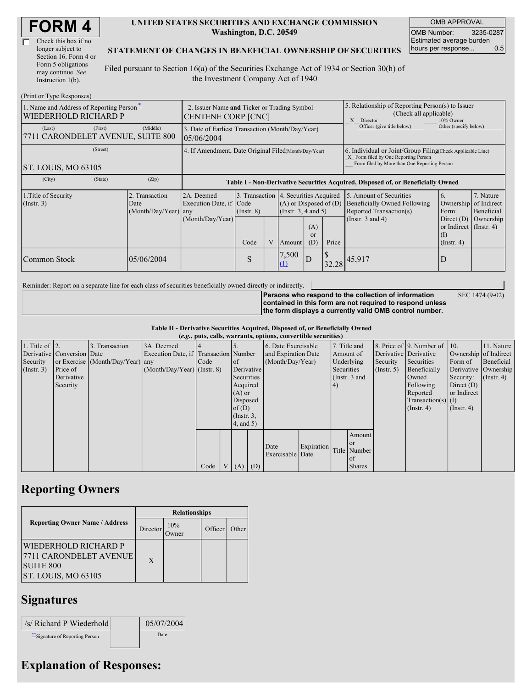| Check this box if no  |
|-----------------------|
| longer subject to     |
| Section 16. Form 4 or |
| Form 5 obligations    |
| may continue. See     |
| Instruction 1(b).     |

#### **UNITED STATES SECURITIES AND EXCHANGE COMMISSION Washington, D.C. 20549**

OMB APPROVAL OMB Number: 3235-0287 Estimated average burden hours per response... 0.5

#### **STATEMENT OF CHANGES IN BENEFICIAL OWNERSHIP OF SECURITIES**

Filed pursuant to Section 16(a) of the Securities Exchange Act of 1934 or Section 30(h) of the Investment Company Act of 1940

| (Print or Type Responses)                                        |                                                                                                                                                                                                             |                                                                                  |      |                                                                                                                                                              |        |                             |                                                                                                                                                    |                            |                                                                                |           |
|------------------------------------------------------------------|-------------------------------------------------------------------------------------------------------------------------------------------------------------------------------------------------------------|----------------------------------------------------------------------------------|------|--------------------------------------------------------------------------------------------------------------------------------------------------------------|--------|-----------------------------|----------------------------------------------------------------------------------------------------------------------------------------------------|----------------------------|--------------------------------------------------------------------------------|-----------|
| 1. Name and Address of Reporting Person-<br>WIEDERHOLD RICHARD P | 2. Issuer Name and Ticker or Trading Symbol<br>CENTENE CORP [CNC]                                                                                                                                           |                                                                                  |      |                                                                                                                                                              |        |                             | 5. Relationship of Reporting Person(s) to Issuer<br>(Check all applicable)<br>X Director<br>10% Owner                                              |                            |                                                                                |           |
| (Last)<br>(First)<br>7711 CARONDELET AVENUE, SUITE 800           | (Middle)                                                                                                                                                                                                    | 3. Date of Earliest Transaction (Month/Day/Year)<br>05/06/2004                   |      |                                                                                                                                                              |        |                             |                                                                                                                                                    | Officer (give title below) | Other (specify below)                                                          |           |
| (Street)<br>ST. LOUIS, MO 63105                                  | 4. If Amendment, Date Original Filed(Month/Day/Year)                                                                                                                                                        |                                                                                  |      |                                                                                                                                                              |        |                             | 6. Individual or Joint/Group Filing Check Applicable Line)<br>X Form filed by One Reporting Person<br>Form filed by More than One Reporting Person |                            |                                                                                |           |
| (City)<br>(State)                                                | (Zip)                                                                                                                                                                                                       | Table I - Non-Derivative Securities Acquired, Disposed of, or Beneficially Owned |      |                                                                                                                                                              |        |                             |                                                                                                                                                    |                            |                                                                                |           |
| 1. Title of Security<br>$($ Instr. 3 $)$                         | 3. Transaction 4. Securities Acquired<br>2. Transaction<br>2A. Deemed<br>$(A)$ or Disposed of $(D)$<br>Execution Date, if Code<br>Date<br>(Insert. 3, 4 and 5)<br>$(Month/Day/Year)$ any<br>$($ Instr. $8)$ |                                                                                  |      | 5. Amount of Securities<br>7. Nature<br>6.<br><b>Beneficially Owned Following</b><br>Ownership of Indirect<br>Reported Transaction(s)<br>Beneficial<br>Form: |        |                             |                                                                                                                                                    |                            |                                                                                |           |
|                                                                  |                                                                                                                                                                                                             | (Month/Day/Year)                                                                 | Code | V                                                                                                                                                            | Amount | (A)<br><sub>or</sub><br>(D) | Price                                                                                                                                              | (Instr. $3$ and $4$ )      | Direct $(D)$<br>or Indirect $($ Instr. 4 $)$<br>$\left($ I<br>$($ Instr. 4 $)$ | Ownership |
| Common Stock                                                     | 05/06/2004                                                                                                                                                                                                  |                                                                                  | S    |                                                                                                                                                              | 7,500  | D                           |                                                                                                                                                    | $132.28$ 45,917            | D                                                                              |           |

Reminder: Report on a separate line for each class of securities beneficially owned directly or indirectly.

SEC 1474 (9-02)

**Persons who respond to the collection of information contained in this form are not required to respond unless the form displays a currently valid OMB control number.**

**Table II - Derivative Securities Acquired, Disposed of, or Beneficially Owned (***e.g.***, puts, calls, warrants, options, convertible securities)**

| (e.g., puts, cans, warrants, options, convertible securities) |                            |                                  |                                       |      |              |                 |  |                     |            |              |                 |                       |                              |                  |                       |
|---------------------------------------------------------------|----------------------------|----------------------------------|---------------------------------------|------|--------------|-----------------|--|---------------------|------------|--------------|-----------------|-----------------------|------------------------------|------------------|-----------------------|
| 1. Title of $\vert$ 2.                                        |                            | 3. Transaction                   | 3A. Deemed                            |      |              |                 |  | 6. Date Exercisable |            | 7. Title and |                 |                       | 8. Price of 9. Number of 10. |                  | 11. Nature            |
|                                                               | Derivative Conversion Date |                                  | Execution Date, if Transaction Number |      |              |                 |  | and Expiration Date |            |              | Amount of       | Derivative Derivative |                              |                  | Ownership of Indirect |
| Security                                                      |                            | or Exercise (Month/Day/Year) any |                                       | Code |              | <b>l</b> of     |  | (Month/Day/Year)    |            |              | Underlying      | Security              | Securities                   | Form of          | Beneficial            |
| $($ Instr. 3 $)$                                              | Price of                   |                                  | $(Month/Day/Year)$ (Instr. 8)         |      |              | Derivative      |  |                     |            | Securities   |                 | $($ Instr. 5)         | Beneficially                 |                  | Derivative Ownership  |
|                                                               | Derivative                 |                                  |                                       |      |              | Securities      |  |                     |            |              | (Instr. $3$ and |                       | Owned                        | Security:        | $($ Instr. 4)         |
|                                                               | Security                   |                                  |                                       |      |              | Acquired        |  |                     |            | (4)          |                 |                       | Following                    | Direct $(D)$     |                       |
|                                                               |                            |                                  |                                       |      |              | $(A)$ or        |  |                     |            |              |                 |                       | Reported                     | or Indirect      |                       |
|                                                               |                            |                                  |                                       |      |              | Disposed        |  |                     |            |              |                 |                       | $Transaction(s)$ (I)         |                  |                       |
|                                                               |                            |                                  |                                       |      |              | of(D)           |  |                     |            |              |                 |                       | $($ Instr. 4 $)$             | $($ Instr. 4 $)$ |                       |
|                                                               |                            |                                  |                                       |      |              | $($ Instr. $3,$ |  |                     |            |              |                 |                       |                              |                  |                       |
|                                                               |                            |                                  |                                       |      |              | 4, and 5)       |  |                     |            |              |                 |                       |                              |                  |                       |
|                                                               |                            |                                  |                                       |      |              |                 |  |                     |            |              | Amount          |                       |                              |                  |                       |
|                                                               |                            |                                  |                                       |      |              |                 |  | Date                | Expiration |              | or or           |                       |                              |                  |                       |
|                                                               |                            |                                  |                                       |      |              |                 |  | Exercisable Date    |            |              | Title Number    |                       |                              |                  |                       |
|                                                               |                            |                                  |                                       |      |              |                 |  |                     |            |              | of              |                       |                              |                  |                       |
|                                                               |                            |                                  |                                       | Code | $\mathbf{V}$ | $(A)$ $(D)$     |  |                     |            |              | <b>Shares</b>   |                       |                              |                  |                       |

# **Reporting Owners**

|                                                                                           | <b>Relationships</b> |              |         |       |  |  |  |
|-------------------------------------------------------------------------------------------|----------------------|--------------|---------|-------|--|--|--|
| <b>Reporting Owner Name / Address</b>                                                     | Director             | 10%<br>Owner | Officer | Other |  |  |  |
| WIEDERHOLD RICHARD P<br>7711 CARONDELET AVENUE<br><b>SUITE 800</b><br>ST. LOUIS, MO 63105 | X                    |              |         |       |  |  |  |

### **Signatures**

| /s/ Richard P Wiederhold         | 05/07/2004 |
|----------------------------------|------------|
| ** Signature of Reporting Person | Date       |

# **Explanation of Responses:**